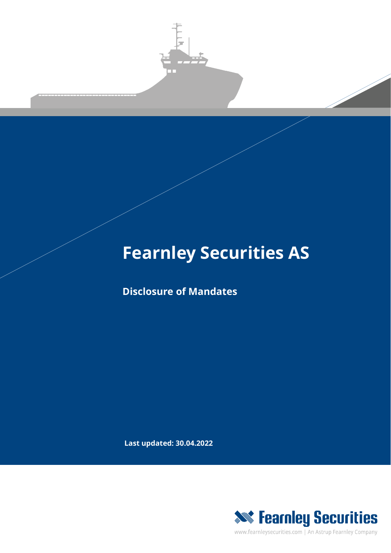

## **Fearnley Securities AS**

**Disclosure of Mandates**

**Last updated: 30.04.2022**



www.fearnleysecurities.com | An Astrup Fearnley Company